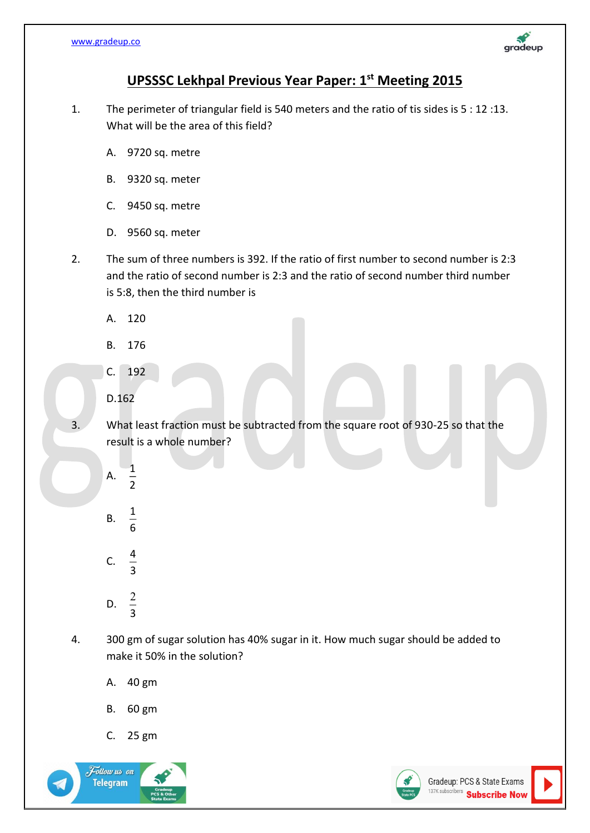

## **UPSSSC Lekhpal Previous Year Paper: 1 st Meeting 2015**

- 1. The perimeter of triangular field is 540 meters and the ratio of tis sides is 5 : 12 :13. What will be the area of this field?
	- A. 9720 sq. metre
	- B. 9320 sq. meter
	- C. 9450 sq. metre
	- D. 9560 sq. meter
- 2. The sum of three numbers is 392. If the ratio of first number to second number is 2:3 and the ratio of second number is 2:3 and the ratio of second number third number is 5:8, then the third number is
	- A. 120
	- B. 176
	- C. 192
	- D.162

3. What least fraction must be subtracted from the square root of 930-25 so that the result is a whole number?

- A. 1  $\overline{2}$ B. 1 6 C. 4
- D. 3  $\overline{c}$

3

- 4. 300 gm of sugar solution has 40% sugar in it. How much sugar should be added to make it 50% in the solution?
	- A. 40 gm
	- B. 60 gm
	- C. 25 gm



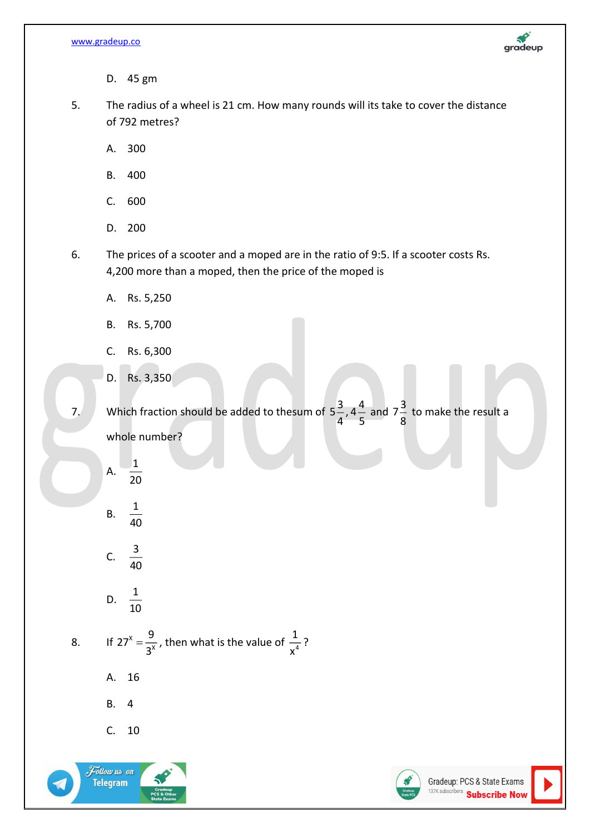

- D. 45 gm
- 5. The radius of a wheel is 21 cm. How many rounds will its take to cover the distance of 792 metres?
	- A. 300
	- B. 400
	- C. 600
	- D. 200
- 6. The prices of a scooter and a moped are in the ratio of 9:5. If a scooter costs Rs. 4,200 more than a moped, then the price of the moped is
	- A. Rs. 5,250
	- B. Rs. 5,700
	- C. Rs. 6,300
	- D. Rs. 3,350

7. Which fraction should be added to thesum of  $5\frac{3}{4}$ ,  $4\frac{4}{5}$  and  $7\frac{3}{8}$ – to make the result a<br>8 whole number?

- A. 1  $\overline{20}$ B. 1 40
- C.  $\frac{3}{16}$ 40
- D.  $\frac{1}{16}$ 10
- 8. If  $27^x$ X  $27^{x} = \frac{9}{x}$  $=\frac{3}{3^{x}}$ , then what is the value of  $\frac{1}{x^{4}}$ 1  $\frac{1}{x^4}$  ?
	- A. 16
	- B. 4
	- C. 10



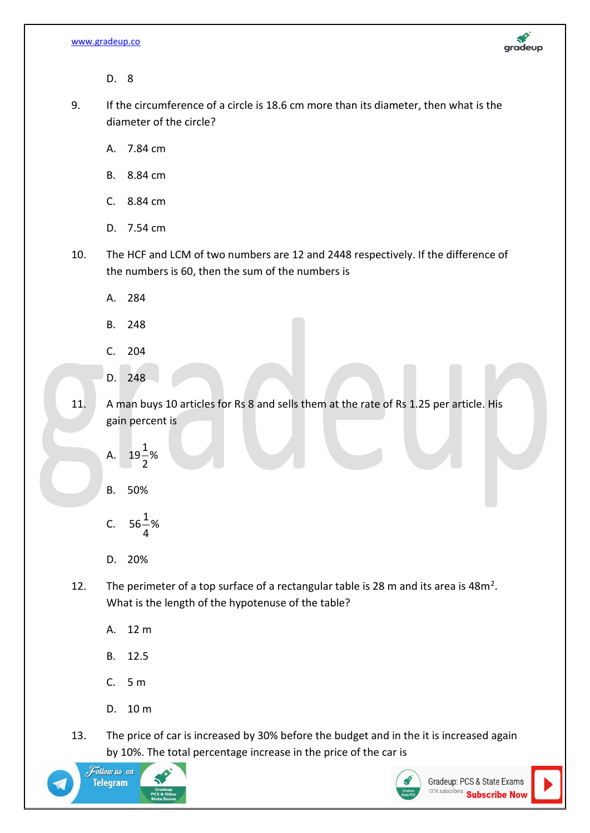

D. 8

9. If the circumference of a circle is 18.6 cm more than its diameter, then what is the diameter of the circle?

A. 7.84 cm

- B. 8.84 cm
- C. 8.84 cm
- D. 7.54 cm
- 10. The HCF and LCM of two numbers are 12 and 2448 respectively. If the difference of the numbers is 60, then the sum of the numbers is
	- A. 284
	- B. 248
	- C. 204
	- D. 248
- 11. A man buys 10 articles for Rs 8 and sells them at the rate of Rs 1.25 per article. His gain percent is
	- A.  $19\frac{1}{3}\%$ 2

B. 50%

- C.  $56\rm{{}^{1}$ % 4
- D. 20%
- 12. The perimeter of a top surface of a rectangular table is 28 m and its area is  $48m^2$ . What is the length of the hypotenuse of the table?
	- A. 12 m
	- B. 12.5
	- C. 5 m
	- D. 10 m
- 13. The price of car is increased by 30% before the budget and in the it is increased again by 10%. The total percentage increase in the price of the car is



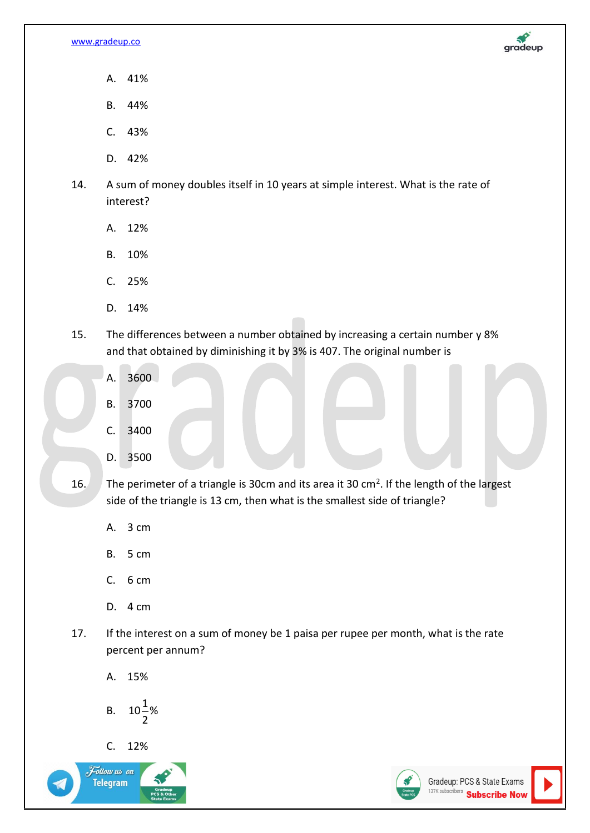

- A. 41%
- B. 44%
- C. 43%
- D. 42%
- 14. A sum of money doubles itself in 10 years at simple interest. What is the rate of interest?
	- A. 12%
	- B. 10%
	- C. 25%
	- D. 14%
- 15. The differences between a number obtained by increasing a certain number y 8% and that obtained by diminishing it by 3% is 407. The original number is
	- A. 3600
	- B. 3700
	- C. 3400
	- D. 3500

16. The perimeter of a triangle is 30cm and its area it 30 cm<sup>2</sup>. If the length of the largest side of the triangle is 13 cm, then what is the smallest side of triangle?

- A. 3 cm
- B. 5 cm
- $C. 6 cm$
- D. 4 cm
- 17. If the interest on a sum of money be 1 paisa per rupee per month, what is the rate percent per annum?
	- A. 15%

B. 
$$
10\frac{1}{2}\%
$$

C. 12%



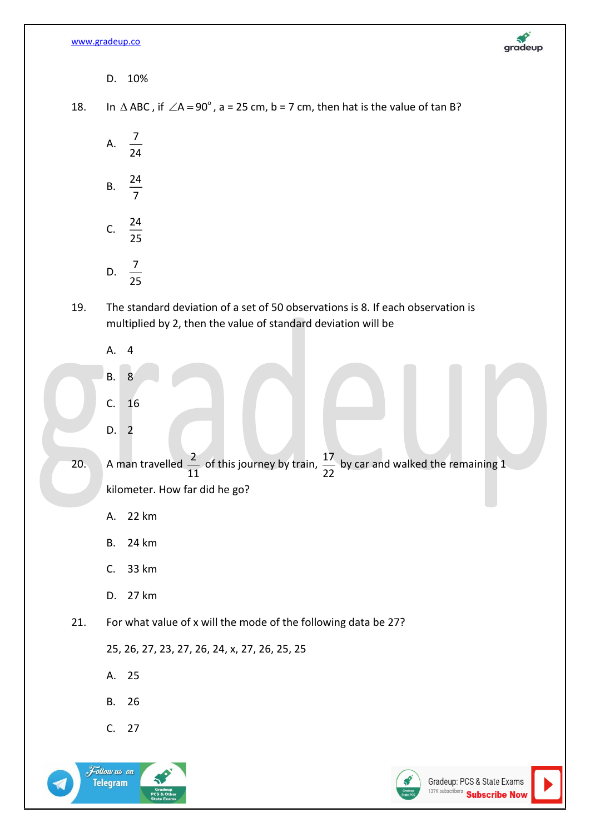[www.gradeup.co](http://www.gradeup.co/)



D. 10%

18.

 $\Delta$  ABC , if  $\angle$ A = 90 $^{\circ}$  , a = 25 cm, b = 7 cm, then hat is the value of tan B?

A.  $\frac{7}{9}$ 24 B. 24 7 C.  $\frac{24}{27}$ 25

- D.  $\frac{7}{25}$ 25
- 19. The standard deviation of a set of 50 observations is 8. If each observation is multiplied by 2, then the value of standard deviation will be
	- A. 4
	- B. 8 C. 16
	- D. 2
- 20. A man travelled  $\frac{2}{\sqrt{2}}$  $\frac{2}{11}$  of this journey by train,  $\frac{17}{22}$  $\frac{27}{22}$  by car and walked the remaining 1 kilometer. How far did he go?
	- A. 22 km
	- B. 24 km
	- C. 33 km
	- D. 27 km
	- 21. For what value of x will the mode of the following data be 27?

25, 26, 27, 23, 27, 26, 24, x, 27, 26, 25, 25

- A. 25
- B. 26
- C. 27



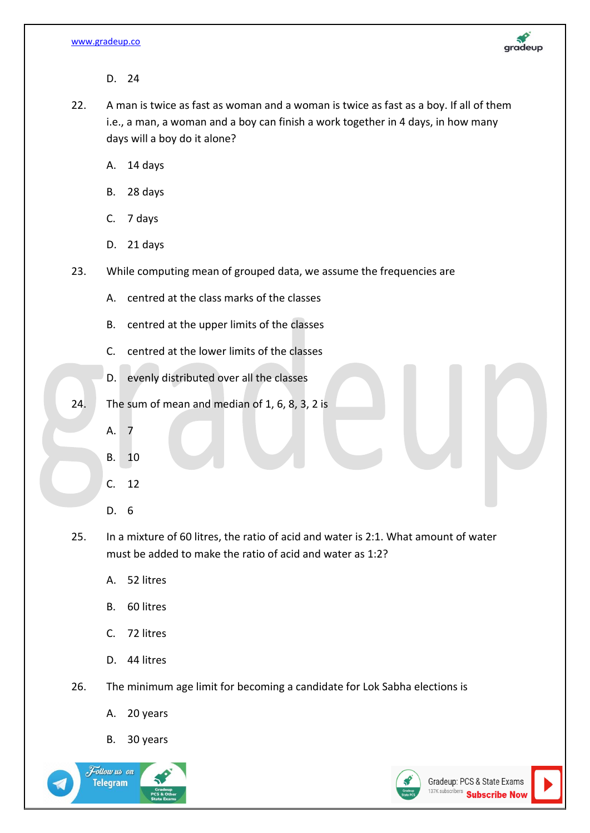

D. 24

- 22. A man is twice as fast as woman and a woman is twice as fast as a boy. If all of them i.e., a man, a woman and a boy can finish a work together in 4 days, in how many days will a boy do it alone?
	- A. 14 days
	- B. 28 days
	- C. 7 days
	- D. 21 days
- 23. While computing mean of grouped data, we assume the frequencies are
	- A. centred at the class marks of the classes
	- B. centred at the upper limits of the classes
	- C. centred at the lower limits of the classes
	- D. evenly distributed over all the classes
- 24. The sum of mean and median of 1, 6, 8, 3, 2 is
	- A. 7
	- B. 10
	- C. 12
	- D. 6
- 25. In a mixture of 60 litres, the ratio of acid and water is 2:1. What amount of water must be added to make the ratio of acid and water as 1:2?
	- A. 52 litres
	- B. 60 litres
	- C. 72 litres
	- D. 44 litres
- 26. The minimum age limit for becoming a candidate for Lok Sabha elections is
	- A. 20 years
	- B. 30 years



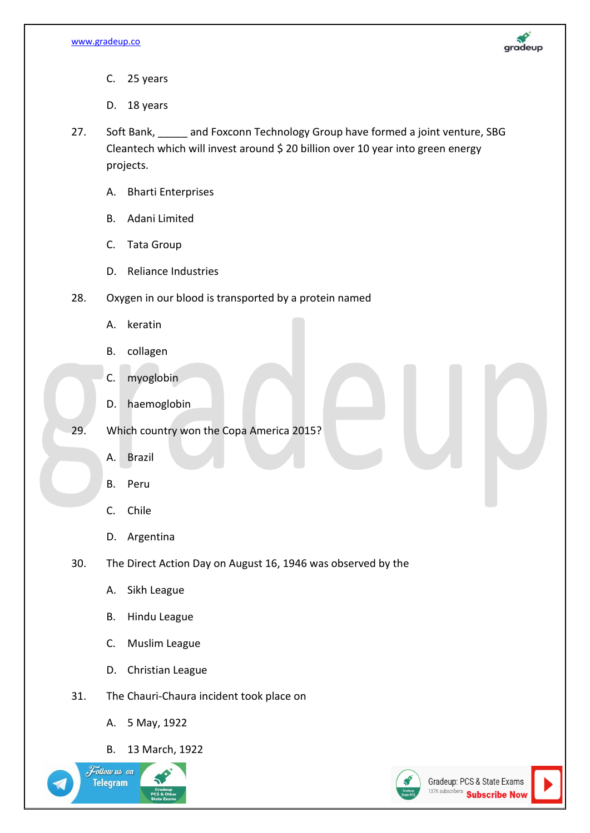

- C. 25 years
- D. 18 years
- 27. Soft Bank, \_\_\_\_\_ and Foxconn Technology Group have formed a joint venture, SBG Cleantech which will invest around \$ 20 billion over 10 year into green energy projects.
	- A. Bharti Enterprises
	- B. Adani Limited
	- C. Tata Group
	- D. Reliance Industries
- 28. Oxygen in our blood is transported by a protein named
	- A. keratin
	- B. collagen
	- C. myoglobin
	- D. haemoglobin
- 29. Which country won the Copa America 2015?
	- A. Brazil
	- B. Peru
	- C. Chile
	- D. Argentina
- 30. The Direct Action Day on August 16, 1946 was observed by the
	- A. Sikh League
	- B. Hindu League
	- C. Muslim League
	- D. Christian League
- 31. The Chauri-Chaura incident took place on
	- A. 5 May, 1922
	- B. 13 March, 1922



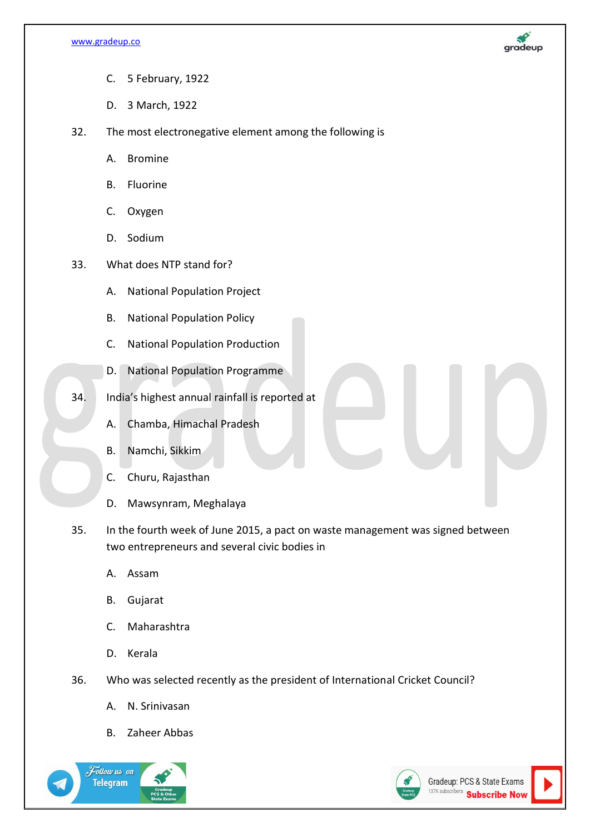

- C. 5 February, 1922
- D. 3 March, 1922
- 32. The most electronegative element among the following is
	- A. Bromine
	- B. Fluorine
	- C. Oxygen
	- D. Sodium
- 33. What does NTP stand for?
	- A. National Population Project
	- B. National Population Policy
	- C. National Population Production
	- D. National Population Programme
- 34. India's highest annual rainfall is reported at
	- A. Chamba, Himachal Pradesh
	- B. Namchi, Sikkim
	- C. Churu, Rajasthan
	- D. Mawsynram, Meghalaya
- 35. In the fourth week of June 2015, a pact on waste management was signed between two entrepreneurs and several civic bodies in
	- A. Assam
	- B. Gujarat
	- C. Maharashtra
	- D. Kerala
- 36. Who was selected recently as the president of International Cricket Council?
	- A. N. Srinivasan
	- B. Zaheer Abbas





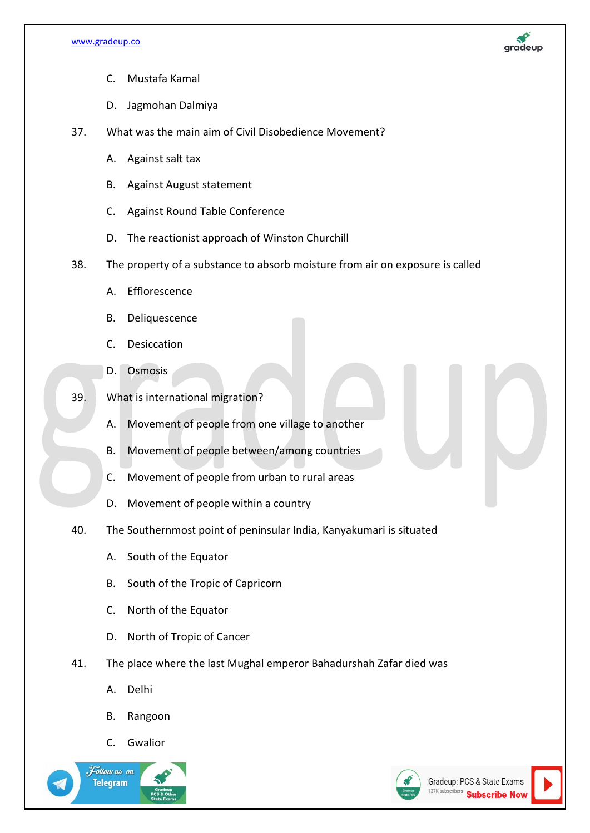

- C. Mustafa Kamal
- D. Jagmohan Dalmiya
- 37. What was the main aim of Civil Disobedience Movement?
	- A. Against salt tax
	- B. Against August statement
	- C. Against Round Table Conference
	- D. The reactionist approach of Winston Churchill
- 38. The property of a substance to absorb moisture from air on exposure is called
	- A. Efflorescence
	- B. Deliquescence
	- C. Desiccation
	- D. Osmosis
- 39. What is international migration?
	- A. Movement of people from one village to another
	- B. Movement of people between/among countries
	- C. Movement of people from urban to rural areas
	- D. Movement of people within a country
- 40. The Southernmost point of peninsular India, Kanyakumari is situated
	- A. South of the Equator
	- B. South of the Tropic of Capricorn
	- C. North of the Equator
	- D. North of Tropic of Cancer
- 41. The place where the last Mughal emperor Bahadurshah Zafar died was
	- A. Delhi
	- B. Rangoon
	- C. Gwalior





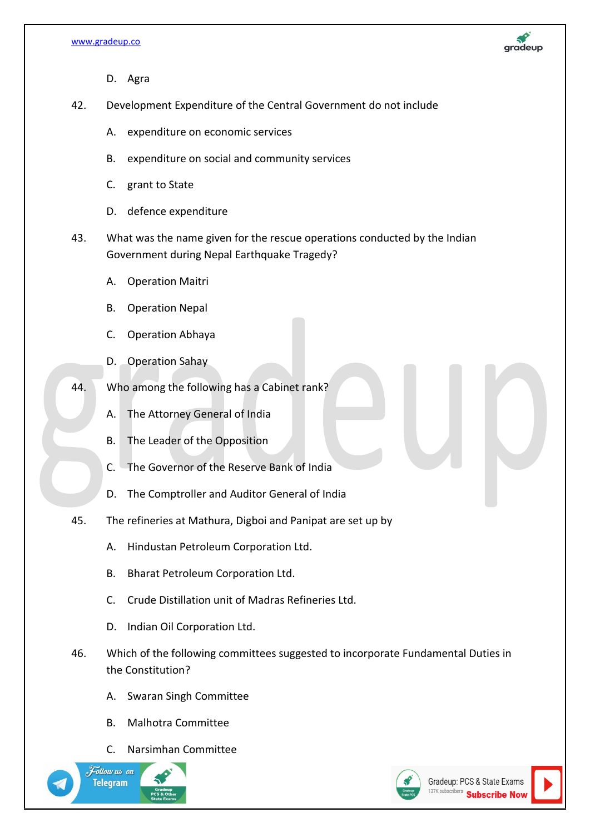

- D. Agra
- 42. Development Expenditure of the Central Government do not include
	- A. expenditure on economic services
	- B. expenditure on social and community services
	- C. grant to State
	- D. defence expenditure
- 43. What was the name given for the rescue operations conducted by the Indian Government during Nepal Earthquake Tragedy?
	- A. Operation Maitri
	- B. Operation Nepal
	- C. Operation Abhaya
	- D. Operation Sahay
- 44. Who among the following has a Cabinet rank?
	- A. The Attorney General of India
	- B. The Leader of the Opposition
	- C. The Governor of the Reserve Bank of India
	- D. The Comptroller and Auditor General of India
- 45. The refineries at Mathura, Digboi and Panipat are set up by
	- A. Hindustan Petroleum Corporation Ltd.
	- B. Bharat Petroleum Corporation Ltd.
	- C. Crude Distillation unit of Madras Refineries Ltd.
	- D. Indian Oil Corporation Ltd.
- 46. Which of the following committees suggested to incorporate Fundamental Duties in the Constitution?
	- A. Swaran Singh Committee
	- B. Malhotra Committee
	- C. Narsimhan Committee



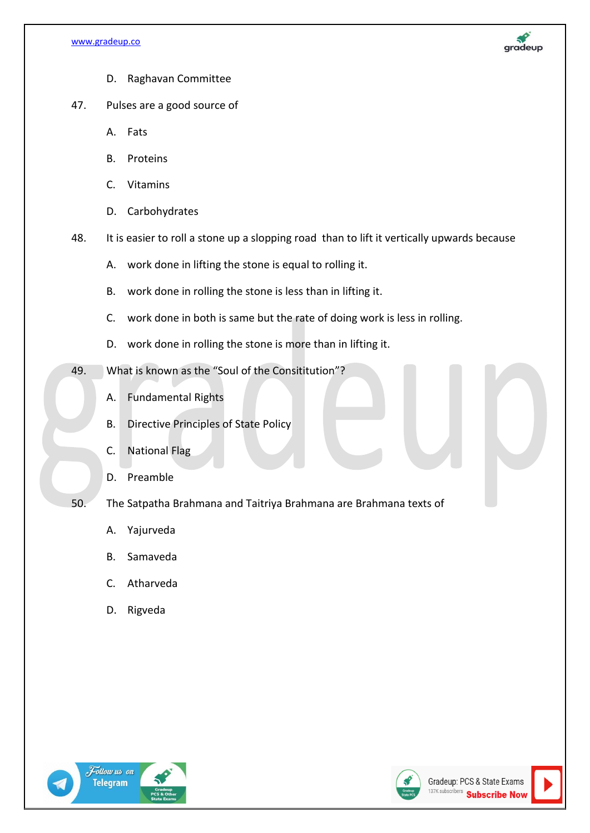

- D. Raghavan Committee
- 47. Pulses are a good source of
	- A. Fats
	- B. Proteins
	- C. Vitamins
	- D. Carbohydrates
- 48. It is easier to roll a stone up a slopping road than to lift it vertically upwards because
	- A. work done in lifting the stone is equal to rolling it.
	- B. work done in rolling the stone is less than in lifting it.
	- C. work done in both is same but the rate of doing work is less in rolling.
	- D. work done in rolling the stone is more than in lifting it.
- 49. What is known as the "Soul of the Consititution"?
	- A. Fundamental Rights
	- B. Directive Principles of State Policy
	- C. National Flag
	- D. Preamble
- 50. The Satpatha Brahmana and Taitriya Brahmana are Brahmana texts of
	- A. Yajurveda
	- B. Samaveda
	- C. Atharveda
	- D. Rigveda





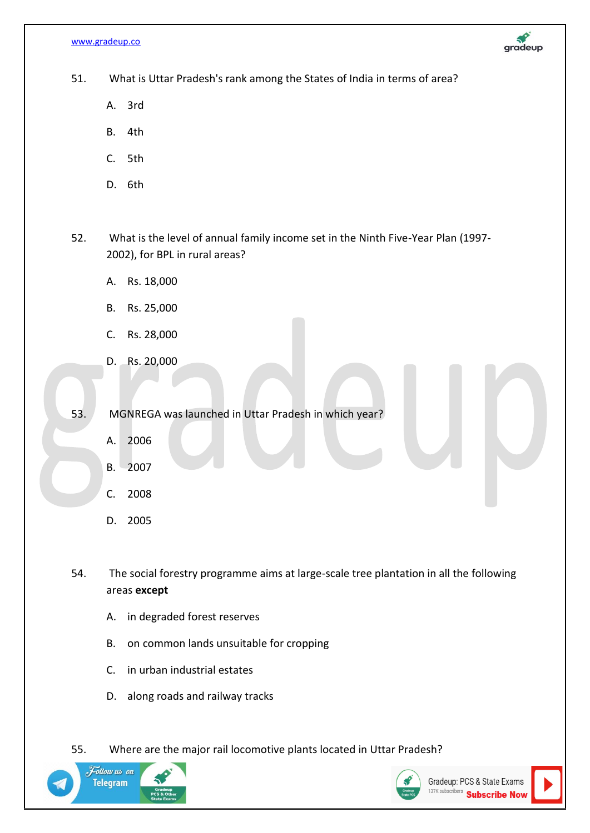[www.gradeup.co](http://www.gradeup.co/)



51. What is Uttar Pradesh's rank among the States of India in terms of area?

- A. 3rd
- B. 4th
- C. 5th
- D. 6th

52. What is the level of annual family income set in the Ninth Five-Year Plan (1997- 2002), for BPL in rural areas?

- A. Rs. 18,000
- B. Rs. 25,000
- C. Rs. 28,000
- D. Rs. 20,000

53. MGNREGA was launched in Uttar Pradesh in which year?

- A. 2006
- B. 2007
- C. 2008
- D. 2005

54. The social forestry programme aims at large-scale tree plantation in all the following areas **except**

- A. in degraded forest reserves
- B. on common lands unsuitable for cropping
- C. in urban industrial estates
- D. along roads and railway tracks

55. Where are the major rail locomotive plants located in Uttar Pradesh?



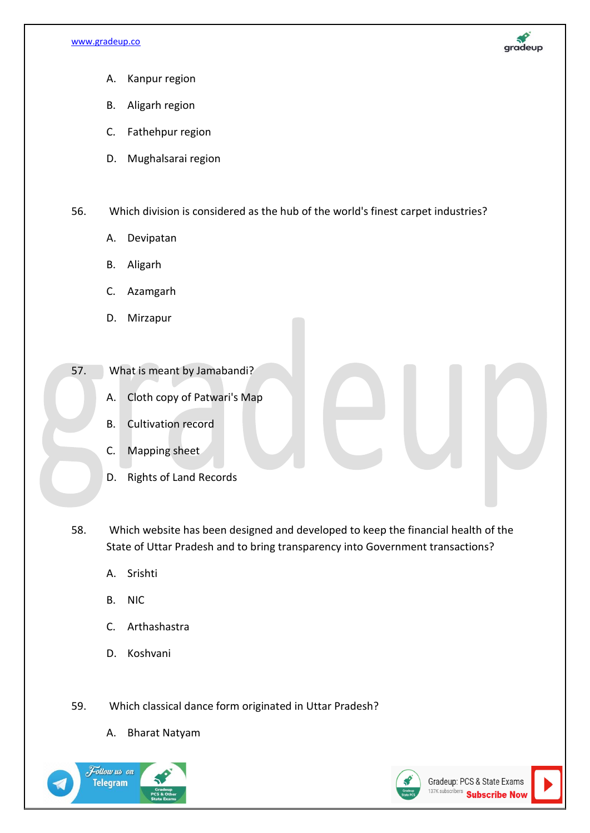

- A. Kanpur region
- B. Aligarh region
- C. Fathehpur region
- D. Mughalsarai region

56. Which division is considered as the hub of the world's finest carpet industries?

- A. Devipatan
- B. Aligarh
- C. Azamgarh
- D. Mirzapur
- 57. What is meant by Jamabandi?
	- A. Cloth copy of Patwari's Map
	- B. Cultivation record
	- C. Mapping sheet
	- D. Rights of Land Records

58. Which website has been designed and developed to keep the financial health of the State of Uttar Pradesh and to bring transparency into Government transactions?

- A. Srishti
- B. NIC
- C. Arthashastra
- D. Koshvani
- 59. Which classical dance form originated in Uttar Pradesh?
	- A. Bharat Natyam



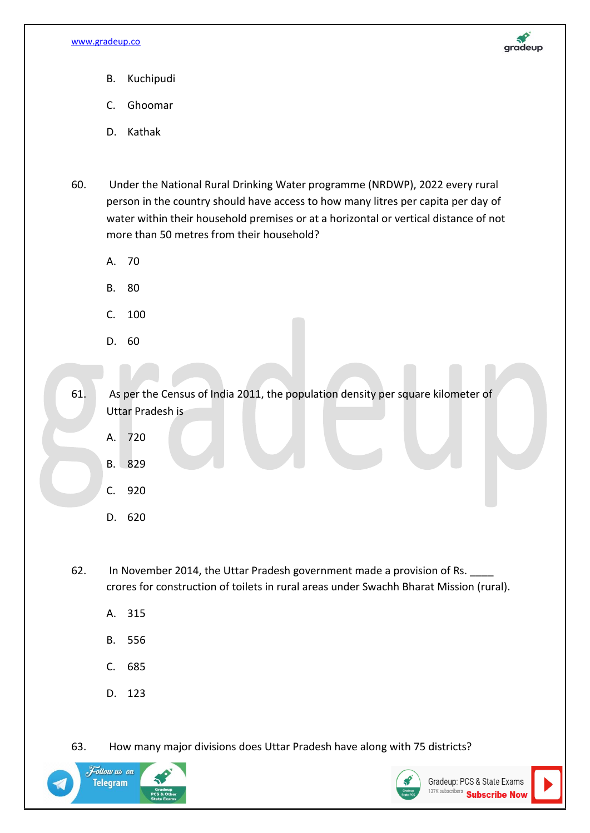

- B. Kuchipudi
- C. Ghoomar
- D. Kathak
- 60. Under the National Rural Drinking Water programme (NRDWP), 2022 every rural person in the country should have access to how many litres per capita per day of water within their household premises or at a horizontal or vertical distance of not more than 50 metres from their household?
	- A. 70
	- B. 80
	- C. 100
	- D. 60

61. As per the Census of India 2011, the population density per square kilometer of Uttar Pradesh is

- A. 720
- B. 829
- C. 920
- D. 620

62. In November 2014, the Uttar Pradesh government made a provision of Rs. crores for construction of toilets in rural areas under Swachh Bharat Mission (rural).

- A. 315
- B. 556
- C. 685
- D. 123

63. How many major divisions does Uttar Pradesh have along with 75 districts?



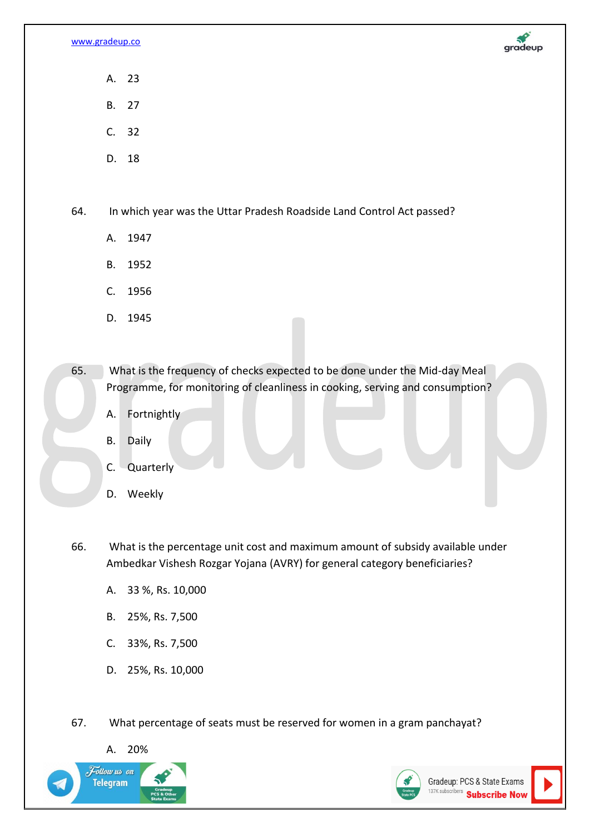

- A. 23
- B. 27
- C. 32
- D. 18

64. In which year was the Uttar Pradesh Roadside Land Control Act passed?

- A. 1947
- B. 1952
- C. 1956
- D. 1945

65. What is the frequency of checks expected to be done under the Mid-day Meal Programme, for monitoring of cleanliness in cooking, serving and consumption?

- A. Fortnightly
- B. Daily
- C. Quarterly
- D. Weekly

66. What is the percentage unit cost and maximum amount of subsidy available under Ambedkar Vishesh Rozgar Yojana (AVRY) for general category beneficiaries?

- A. 33 %, Rs. 10,000
- B. 25%, Rs. 7,500
- C. 33%, Rs. 7,500
- D. 25%, Rs. 10,000

67. What percentage of seats must be reserved for women in a gram panchayat?

A. 20%



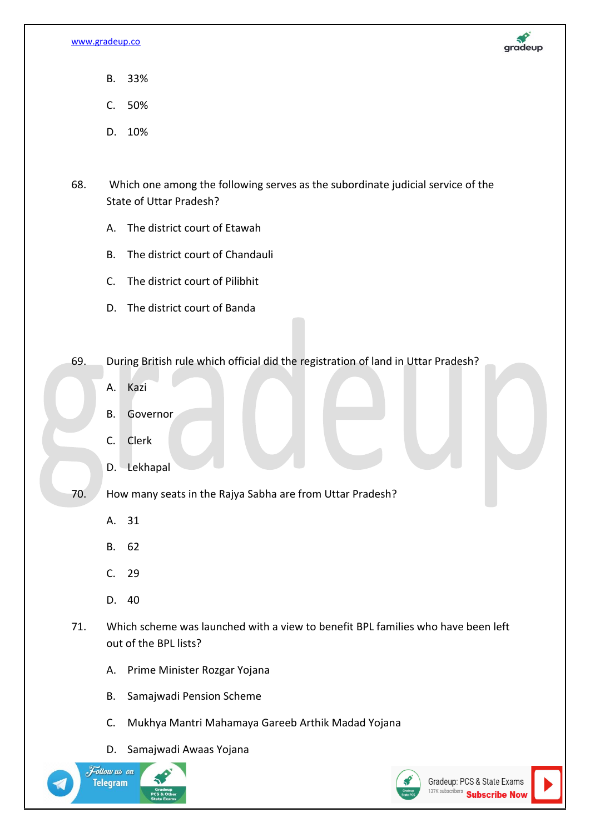

- B. 33%
- C. 50%
- D. 10%
- 68. Which one among the following serves as the subordinate judicial service of the State of Uttar Pradesh?
	- A. The district court of Etawah
	- B. The district court of Chandauli
	- C. The district court of Pilibhit
	- D. The district court of Banda
- 69. During British rule which official did the registration of land in Uttar Pradesh?
	- A. Kazi
	- B. Governor
	- C. Clerk
	- D. Lekhapal
- 70. How many seats in the Rajya Sabha are from Uttar Pradesh?
	- A. 31
	- B. 62
	- C. 29
	- D. 40
- 71. Which scheme was launched with a view to benefit BPL families who have been left out of the BPL lists?
	- A. Prime Minister Rozgar Yojana
	- B. Samajwadi Pension Scheme
	- C. Mukhya Mantri Mahamaya Gareeb Arthik Madad Yojana
	- D. Samajwadi Awaas Yojana